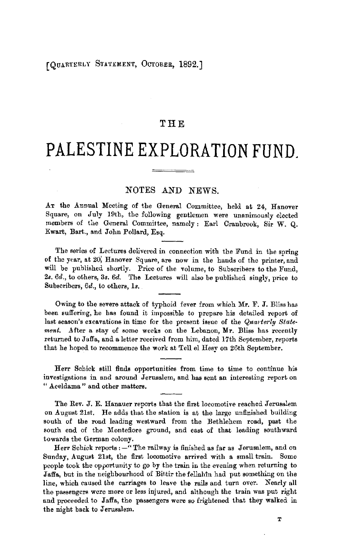## **THE**

## **PALESTINE EXPLORATION FUND.**

## NOTES AND NEWS.

AT the Annual Meeting of the General Committee, held at 24, Hanover Square, on July 19th, the following gentlemen were unanimously elected members of the General Committee, namely : Earl Cranbrook, Sir W. Q. Ewart, Bart., and John Pollard, Esq.

The series of Lectures delivered in connection with the Fund in the spring of the year, at 20; Hanover Square, are now in the hands of the printer, and will be published shortly. Price of the volume, to Subscribers to the Fund, 2s. *6d.,* to others, 3s. *6d.* The Lectures will also be published singly, price to Subscribers, *6d.,* to others, *ls.* 

Owing to the severe attack of typhoid fever from which Mr. F. J. Bliss has been suffering, he has found it impossible to prepare his detailed report of last season's excavations in time for the present issue of the *Quarterly Statement.* After a stay of some weeks on the Lebanon, **Mr.** Bliss has recently returned to Jaffa, and a letter received from him, dated 17th September, reports that he hoped to recommence the work at Tell el Hesy on 26th September.

Herr Schick still finds opportunities from time to time to continue his investigations in and around Jerusalem, and has sent an interesting report on " Aceldama " and other matters.

The Rev. J. E. Hanauer reports that the first locomotive reached Jerusalem on August 21st. He adds that the station is at the large unfinished building south of the road leading westward from the Bethlehem road, past the south end of the Montefiore ground, and east of that leading southward towards the German colony.

Herr Schick reports:-" The railway is finished as far as Jerusalem, and on Sunday, August 21st, the first locomotive arrived with a small train. Some people took the opportunity to go by the train in the evening when returning to Jaffa, but in the neighbourhood of Bittir the fellahin had put something on the line, which caused the carriages to leave the rails and turn over. Nearly all the passengers were more or less injured, and although the train was put right and proceeded to Jaffa, the passengers were so frightened that they walked in the night back to Jerusalem.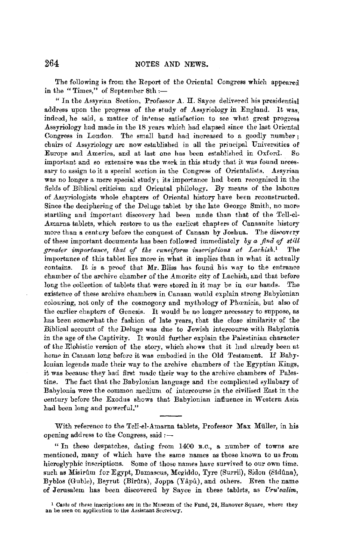The following is from the Report of the Oriental Congress which appeared in the "Times," of September 8th :-

" In the Assyrian Section, Professor A. H. Sayce delivered his presidential address upon the progress of the study of Assyriology in England. It was, indeed, he said, a matter of in•ense satisfaction to see what great progress Assyriology had made in the 18 years which had elapsed since the last Oriental Congress in London. The small band had increased to a goodly number; chairs of Assyriology are now established in all the principal Universities of Europe and America, and at last one has been established in Oxford. So important and so extensive was the work in this study that it was found necessary to assign to it a special section in the Congress of Orientalists. Assyrian was no longer a mere special study; its importance had been recognised in the fields of Biblical criticism and Oriental philology. By means of the labours of Assyriologists whole chapters of Oriental history bave been reconstructed, Since the deciphering of the Deluge tablet by the late George Smith, no more startling and important discovery had been made than that of the Tell-el-Amarna tablets, which restore to us the earliest chapters of Canaanite history more than a century before the conquest of Canaan by Joshua. The discovery of these important documents has been followed immediately by *a find of still greater importance, that of the cuneiform inscriptions at Laehish. <sup>1</sup>*The importance of this tablet lies more in what it implies tban in what it actually contains. It is a proof tbat **Mr.** Bliss has found his way to the entrance cham her of the archive chamber of the Amorite city of Lachish, and that before long the collection of tablets that were stored in it may be in our hands. The existence of these archive chambers in Canaan would explain strong Babylonian colouring, not only of the cosmogony and mythology of Phœnicia, but also of the earlier chapters of Genesis. It would be no longer necessary to suppose, as has been somewhat the fashion of late years, that the close similarity of the Biblical account of the Deluge was due to Jewish intercourse with Babylonia in the age of the Captivity. It would further explain the Palestinian character of the Elohistic version of the story, which shows that it had already been at home in Canaan long before it was embodied in the Old Testament. If Babylonian legends made their way to the archive chambers of the Egyptian Kings, it was because they had first made their way to the archive chambers of Palestine. The fact that the Babylonian language and the complicated syllabary of Babylonia were the common medium of intercourse in the civilised East in the century before the Exodus shows that Babylonian influence in Western Asia had been long and powerful."

With reference to the Tell-el-Amarna tablets, Professor Max Muller, in his opening address to the Congress, said:-

" In these despatches, dating from 1400 B.C., a number of towns are mentioned, many of which have the same names as those known to us from hieroglyphic inscriptions. Some of those names have survived to our own time. such as Misirûm for Egypt, Damascus, Megiddo, Tyre (Surrii), Sidon (Sidûna), Byblos (Guble), Beyrut (Bîrûta), Joppa (Yâpû), and others. Even the name of Jerusalem has been discovered by Sayce in these tablets, as *Uru'salim,* 

<sup>&</sup>lt;sup>1</sup> Casts of these inscriptions are in the Museum of the Fund, 24, Hanover Square, where they an be seen on application to the Assistant Secretary.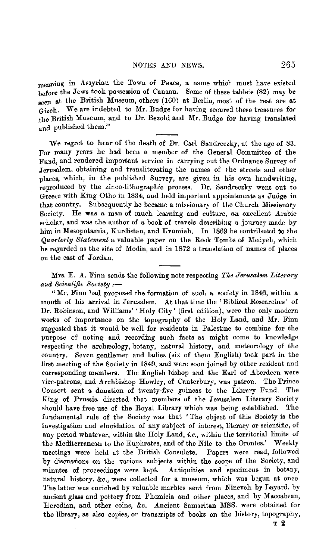meaning in Assyrian the Towu of Peace, a name which must have existed before the Jews took possession of Canaan. Some of these tablets (82) may be seen at the British Museum, others (160) at Berlin, most of the rest are at Gizeh. We are indebted to Mr. Budge for having secured these treasures for the British Museum, and to Dr. Bezold and Mr. Budge for having translated and published them."

We regret to hear of the death of Dr. Carl Sandreczky, at the age of 83. For many yenrs he had been a member of the General Committee of the Fund, and rendered important service in carrying out the Ordnance Survey of Jerusalem, obtaining and transliterating the names of the streets and other places, which, in the published Survey, are given in his own handwriting, reproduced by the zinco-lithographic process. Dr. Sandreczky went out to Greece with King Otho in 1834, and held important appointments as Judge in that country. Subsequently he became a missionary of the Church Missionary Society. He was a man of much learning and culture, an excellent Arabic scholar, and was the author of a book of travels describing a journey made by him in Mesopotamia, Kurdistan, and Urumiah. In 1869 he contributed to the *Quarterly Statement* a valuable paper on the Rock Tombs of Medyeh, which he regarded as the site of Modin, and in 1872 a translation of names of places on the east of Jordan.

Mrs. E. A. Finn sends the following note respecting *The Jerusalem Literary and Scientific Society :-*

"Mr. Finn had proposed the formation of such a society in 1846, within a month of his arrival in Jerusalem. At that time the 'Biblical Researches' of Dr. Robinson, and Williams' 'Holy City' (first edition), were the only modern works of importance on the topography of the Holy Land, and Mr. Finn suggested that it would be well for residents in Palestine to combine for the purpose of noting and recording such facts as might come to knowledge respecting the archeology, botany, natural history, and meteorology of the country. Seven gentlemen and ladies (six of them English) took part in the first meeting of the Society in 1849, and were soon joined by other resident and corresponding members. The English bishop and the Earl of Aberdeen were vice-patrons, and Archbishop Howley, of Canterbury, was patron. The Prince Consort sent a donation of twenty-five guineas to the Library Fund. The King of Prussia directed that members of the Jerusalem Literary Society should have free use of the Royal Library which was being established. The fundamental rule of the Society was that 'The object of this Society is the investigation and elucidation of any subject of interest, literary or scientific, of any period whatever, within the Holy Land, *i.e.,* within the territorial limits of the Mediterranean to the Euphrates, and of the Nile to the Orontes.' Weekly meetings were held at the British Consulate. Papers were read, followed meetings were held at the British Consulate. by discussions on the various subjects within the scope of the Society, and minutes of proceedings were kept. Antiquities and specimens in botany, natural history, &c., were collected for a museum, which was begun at once. The latter was enriched by valuable marbles sent from Nineveh by Layard, by ancient glass and pottery from Phœnicia and other places, and by Maccabean, Herodian, and other coins, &c. Ancient Samaritan MSS. were obtained for the library, as also copies, or transcripts of books on the history, topography, T 2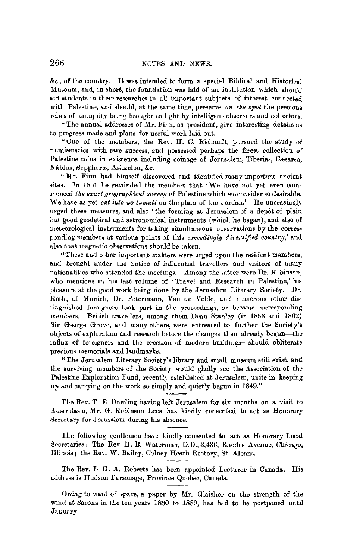$\&c$ , of the country. It was intended to form a special Biblical and Historical Museum, and, in short, the foundation was laid of au institution which should aid students in their researches in all importaut subjects of interest connected with Palestine, and should, at the same time, preserve *on the spot* the precious relics of antiquity being brought to light by intelligent-observers and collectors.

"The annual addresses of Mr. Finn, as president, give interesting details as to progress made and plans for useful work laid out.

"One of the members, the Rev. H. C. Richandt, pursued the study of numiamatics with rare success, and possessed perhaps the finest collection of Palestine coins in existence, including coinage of Jerusalem, Tiberias, Cæsarea, Nâblus, Sepphoris, Ashkelon, &c.

**"Mr.** Finn had himself discovered and identified many important ancient sites. In 1851 he reminded the members that 'We have not yet even commenced *tke exact g•ograpkical surveg* of Palestine which we consider so desirable. We have as yet *cut into no tumuli* on the plain of the Jordan.' He unceasingly urged these measures, and also 'the forming at Jerusalem of a depôt of plain but good geodetical and astronomical instruments (which he began), and also of meteorological instruments for taking simultaneous observations by the corresponding members at various points of this *exceeding/;g diversified country,'* and also that magnetic observations should be taken.

'"fhese and other important matters were urged upon the resident members, and brought under the notice of influential travellers and visitors of many nationalities who attended the meetings. Among the latter were Dr. Rubinson, who mentions in hie last volume of 'Travel and Research in Palestine,' his pleasure at the good work being done by the Jerusalem Literary Society. Dr. Roth, of Munich, Dr. Petermann, Van de Velde, and numerous other distinguished foreigners took part in the proceedings, or became corresponding members. British tmvellers, among them Dean Stanley (in 1853 and 1862) Sir George Grove, and many others, were entreated to further the Society's objects of exploration and research before the changes then already begun-the influx of foreigners and the erection of modern buildings-should obliterate precious memorials and landmarks.

"The Jerusalem Literary Society's library and small museum still exist, and the surviving members of the Society would gladly see the Association of the Palestine Exploration Fund, recently established at Jerusalem, unite in keeping up and carrying on the work so simply and quietly begun in 1849."

Tho Rev. T. E. Dowling having left Jerusalem for six months on a visit to Australasia, Mr. G. Robinson Lees has kindly consented to act as Honorary Secretary for Jerusalem during his absence.

The following gentlemen have kindly consented to act as Honorary Local Secretaries: The Rev. H. B. Waterman, D.D., 3,436, Rhodes Avenue, Chicago, Illinois; the Rev. W. Bailey, Colney Heath Rectory, St. Albans.

The Rev. L G. A. Roberts has been appointed Lecturer in Canada. His address is Hudson Parsonage, Province Quebec, Canada.

Owing to want of space, a paper by Mr. Glaisher on the strength of the wind at Sarona in the ten years 1880 to 1889, has had to be postponed until Jauuury.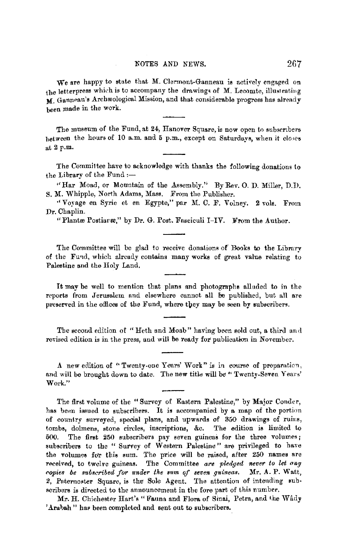We are happy to state that M. Clermont-Ganneau is actively engaged on the letterpress which is to accompany the drawings of M. Lecomte, illustrating **M.** Ganneau's Archæological Mission, and that considerable progress has already been made in the work.

The museum of the Fund, at 24, Hanover Square, is now open to subscribers between the hours of 10 a.m. and 5 p.m., except on Saturdays, when it closes at 2 p.m.

The Committee have to acknowledge with thanks the following donations to the Library of the Fund :-

" Har Moad, or Mountain of the Assembly." By Rev. O. D. Miller, D.D. S. **M.** Whipple, North Adams, Mass. From the Publisher.

'' Voyage en Syrie et en Egypte," par M. C. F. Volney. **2** vola. From Dr. Chaplin.

"Plantæ Postiaræ," by Dr. G. Post. Fasciculi I-IV. From the Author.

The Committee will be glad to receive donations of Books to the Library of the Fund, which already contains many works of great value relating to Palestine and the Holy Land.

It may be well to mention that plans and photographs alluded to in the reports from Jerusalem and elsewhere cannot all be published, but all are preserved in the offices of the Fund, where they may be seen by subscribers.

The second edition of "Heth and Moab" having been sold out, a third and revised edition is in the press, and will be ready for publication in November.

A new edition of "Twenty-one Years' Work" is in course of preparation, and will be brought down to date. The new title will be "Twenty-Seven Years' Work."

The first volume of the "Survey of Eastern Palestine," by Major Conder, has been issued to subscribers. It is accompanied by a map of the portion of country surveyed, special plans, and upwards of 350 drawings of ruins, tombs, dolmens, stone circles, inscriptions, &c, The edition is limited to 500. The first 250 subscribers pay seven guineas for the three volumes; subscribers to the " Survey of Western Palestine" are privileged to have the volumes for this sum. The price will be raised, after 250 names are received, to twelve guineas. The Committee are pledged never to let any *<!opies be suhsct<ibed f01' under the aum of seven guineas,* Mr. A. P. Watt, 2, Paternoster Square, is the Sole Agent. The attention of intending subscribers is directed to the announcement in the fore part of this number.

Mr. H. Chichester Hart's "Fauna and Flora of Sinai, Petra, and the Wady 'Arabah" has been completed and sent out to subscribers.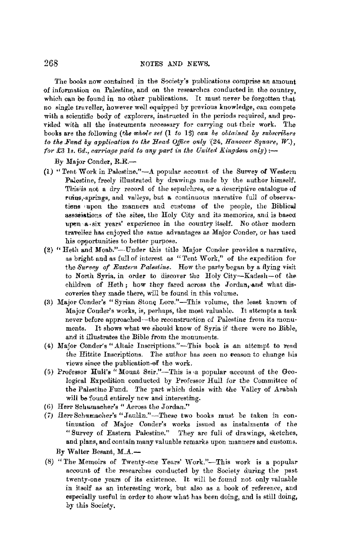The books now contained in the Society's publications comprise an amount of information on Palestine, and on the researches conducted in the country. which can be found in no other publications. It must never be forgotten that no single truveller, however well equipped by previous knowledge, can compete with a scientific body of explorers, instructed in the periods required, and provided with all the instruments necessary for carrying out their work. The books are the following *(the whole set (1 to 15) can be obtained by subscribers to the Fund by application to the Head Office only* (24, *Hanover Square, W.*),  $for £3$  1s.  $6d$ , carriage paid to any part in the United Kingdom only):-

By Major Conder, R.E.-

- (1) "Tent Work in Palestine,"-A popular account of the Smwey of Western Palestine, freely illustrated by drawings made by the author himself. This is not a dry record of the sepulchres, or a descriptive catalogue of ruins,-springs, and valleys, but a continuous narrative full of observations upon the manners and customs of the people, the Biblicul associations of the sites, the Holy City and its memories, and is based upen a six vears' experience in the country itself. No other modern traveller has enjoyed the same advantages as Major Conder, or has used his opportunities to better purpose.
- (2) "Heth and Moab."-Under this title Major Conder provides a narrative, as bright and as full of interest as " Tent Work," of the expedition for the *Survey of Eastern Palestine.* How the party began by a flying visit to North Syria, in order to discover the Holy City-Kadesh-of the children of Heth; how they fared across the Jordan, and what discoveries they made there, will be found in this volume.
- (3) Major Conder's "Syrian Stone Lore."-This volume, the least known of Major Conder's works, is, perhaps, the most valuable. It attempts a task never before approached-the reconstruction of Palestine from its monuments. It shows what we should know of Syria if there were no Bible, and it illustrates the Bible from the monuments.
- (4) Major Conder's "Altaic Inscriptions."-This book is an attempt to read the Hittite Inscriptions. The author has seen no reason to change his views since the publication of the work.
- (5) Professor Hull's "Mount Seir."-This is a popular account of the Geological Expedition conducted by Professor Hull for the Committee of the Palestine Fund. The part which deals with the Valley of Arabah will be found entirely new and interesting.
- (6) Herr Schumacher's "Across the Jordan."
- (7) Herr Schumacher's "Jaulan."-These two books must be taken in continuation of Major Conder's works issued as instalments of the "Survey of Eastern Palestine." They are full of drawings, sketches, and plans, and contain many valuable remarks upon manners and customs. By Walter Besant, M.A.-
- (8) "The Memoirs of Twenty-one Years' Work."-This work is a popular account of the researches conducted by the Society during the past twenty-one years of its existence. It will be found not only valuable in itself as an interesting work, but also as a book of reference, and especially useful in order to show what has been doing, and is still doing, by this Society.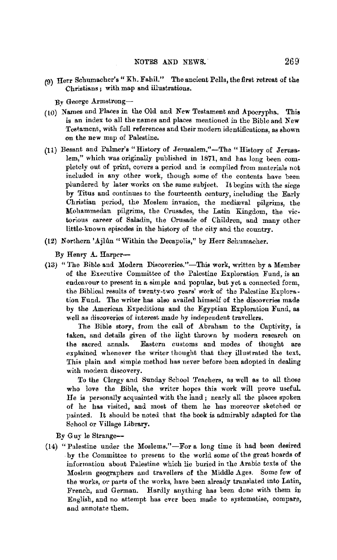(9) Herr Schumacher's "Kh. Fahil." The ancient Pella, the first retreat of the Christians ; with map and illustrations.

By George Armstrong-

- (10) Names and Places in the Old and New Testament and Apocrypha. This is an index to all the names and places mentioned in the Bible and New Testament, with full references and their modern identifications, as shown on the new map of Palestine.
- (11) Besant and Palmer's "History of Jerusalem."-The "History of Jerusalem," which was originally published in 1871, and has long been completely out of print, covers a period and is compiled from materials not included in any other work, though some of the contents have been plundered by later works on the same subject. It begins with the siege by Titus and continnes to the fourteenth century, including the Early Christian period, the Moslem invasion, the mediaval pilgrims, the Mohammedan pilgrims, the Crusades, the Latin Kingdom, the victorious career of Saladin, the Crusade of Children, and many other little-known episodes in the history of the city and the country.
- (12) Northern 'Ajliin "Within the Decapolis," by Herr Schumacher.

By Henry A. Harper-

(13) "The Bible and Modern Discoveries."-This work, written by a Member of the Executive Committee of the Palestine Exploration Fund, is an endeavour to present in a simple and popular, but yet a connected form, the Biblical results of twenty-two years' work of the Palestine Exploration Fund. The writer has also availed himself of the discoveries made by the American Expeditions and the Egyptian Exploration Fund, as well as discoveries of interest made hy independent travellers.

The Bible story, from the call of Abraham to the Captivity, is taken, and details given of ihe light thrown by modern research on the sacred annals. Eastern customs and modes of thought are explained whenever the writer thought that they illustrated the text. This plain and simple method has never before been adopted in dealing with modern discovery.

To the Clergy and Sunday School Teachers, as well as to all those who love the Bible, the writer hopes this work will prove useful. He is personally acquainted with the land; nearly all the places spoken of he has visited, and most of them he has moreover sketched or painted. It should be noted that the book is admirably adapted for the School or Village Library.

By Guy le Strange--

(14) "Palestine under the Moslems."-For a long time it had been desired by the Committee to present to the world some of the great boards of information about Palestine which lie buried in the Arabic texts of the Moslem geographers and travellers of the Middle Ages. Some few of the works, or parts of the works, have been already translated into Latin, French, aud German. Hardly anything has been done with them in English, and no attempt has ever been made to systematise, compare, and annotate them.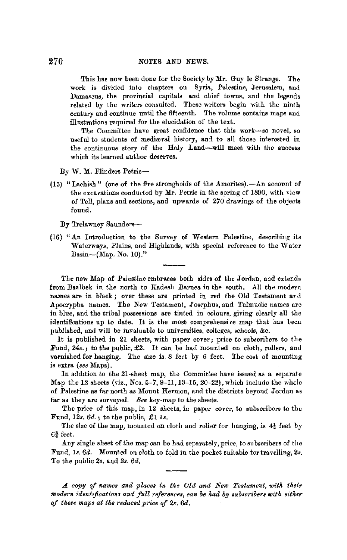This has now been done for the Society by Mr. Guy le Strange. The work is divided into chapters on Syria, Palestine, Jerusalem, and Damascus, the provincial capitals and chief towns, and the legends related by the writers consulted. These writers begin with the ninth century and continue until the fifteenth. The volume contains maps and illustrations required for the elucidation of the text.

The Committee have great confidence that this work-so novel, so useful to students of medieval history, and to all those interested in the continuous story of the Holy Land-will meet with the success which its learned author deserves.

By **W. M.** Flinders Petrie-

(15) "Lachish" (one of the five strongholds of the Amorites).-An account of the excavations conducted by Mr. Petrie in the spring of 1890, with view of Tell, plans and sections, and upwards of 270 drawings of the objects found.

By Trelawney Saunders-

(16) "An Introduction to the Survey of Western Palestine, describing its Waterways, Plains, and Highlands, with special reference to the Water Basin-(Map. No. 10)."

The new Map of Palestine embraces both sides of the Jordan, and extends from Baalbek in the north to Kadesh Barnea in the south. All the modern names are in black ; over these are printed in red the Old Testament and Apocrypha names. The New Testament, Josephus, and Talmudic names are in blue, and the tribal possessions are tinted in colours, giving clearly all the identifications up to date. It is the most comprehensive map that has been published, and will be invaluable to universities, colleges, schools, &c.

It is published in 21 sheets, with paper cover; price to subacribers to the Fund, *24s.;* to the public, *£2.* It can be had mounted on cloth, rollers, and varnished for hanging. The size is 8 feet by 6 feet. The cost of mounting is extra *(see* Maps).

In addition to the 21-sheet map, the Committee have issued as a separate *Mn-p* the 12 sheets (viz., Nos. 5-7, 9-11, 13-15, 20-22), which include the whole of Palestine as far north as Mount Hermon, and the districts beyond Jordan as far as they are surveyed. *See* key-map *to* the sheets.

The price of this map, in 12 sheets, in paper cover, to subscribers to the Fund, 12s. *6d.;* to the public, £1 ls.

The size of the map, mounted on cloth and roller for hanging, is  $4\frac{1}{2}$  feet by  $6\frac{3}{4}$  feet.

Any single sheet of the map can be had separately, price, to subscribers of the Fund, ls. *6d.* Mounted on cloth to fold in the pocket suitable for travelling, *2s. To* the public *2s.* and *2s. 6d •* 

*A copy of names and places in the Old and New Testament, with their modern identifications and full references, can be had by subscribers with either qf the1e maps at the reduced price of 2s. 6d.*